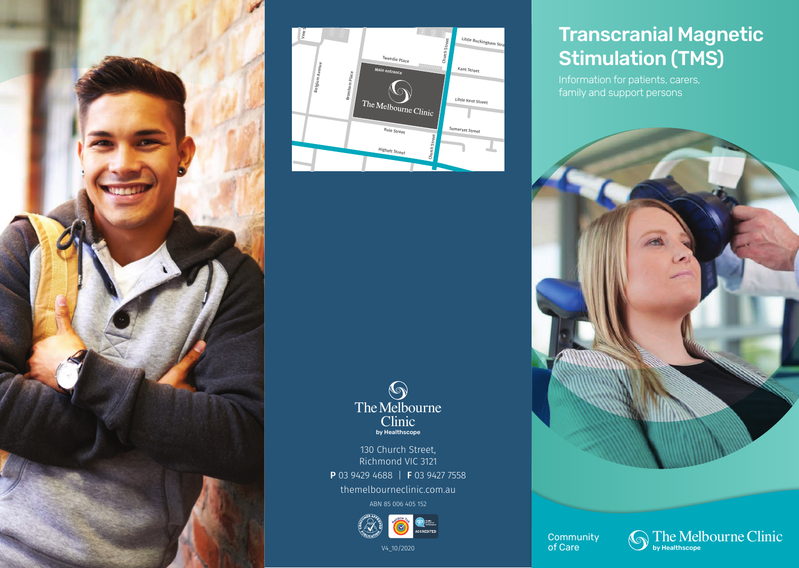



# by Healthscope **S**<br>The Melbourne Clinic

130 Church Street, Richmond VIC 3121 P 03 9429 4688 | F 03 9427 7558

themelbourneclinic.com.au

ABN 85 006 405 152



V4\_10/2020

# Transcranial Magnetic Stimulation (TMS)

Information for patients, carers, family and support persons



**Community** of Care